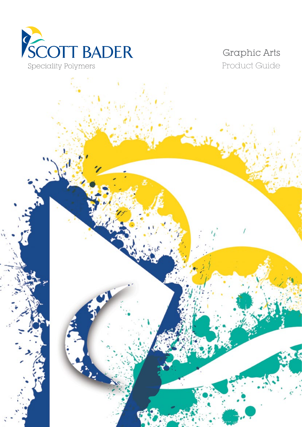

Graphic Arts Product Guide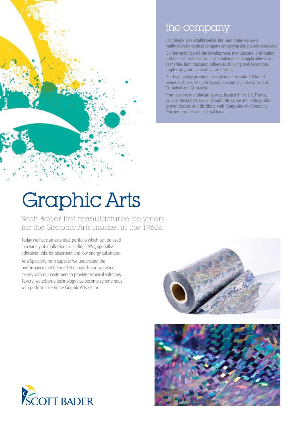

### the company

Scott Bader was established in 1921 and today we are a multinational chemical company employing 600 people worldwide.

Our key activities are the development, manufacture, distribution and sales of synthetic resins and polymers into applications such as marine, land transport, adhesives, building and decoration, graphic arts, surface coatings and textiles.

Our high quality products are sold under established brand names such as Crystic, Fireguard, Crestomer, Texicryl, Texipol, Crestakyd and Crestacryl.

From our five manufacturing sites, located in the UK, France, Croatia, the Middle East and South Africa, we are in the position to manufacture and distribute both Composite and Speciality Polymer products on a global basis.

# Graphic Arts

Scott Bader first manufactured polymers for the Graphic Arts market in the 1960s.

Today we have an extended portfolio which can be used in a variety of applications including OPVs, specialist adhesives, inks for absorbent and low energy substrates.

As a Speciality resin supplier we understand the performance that the market demands and we work closely with our customers to provide technical solutions. Texicryl waterborne technology has become synonymous with performance in the Graphic Arts sector.





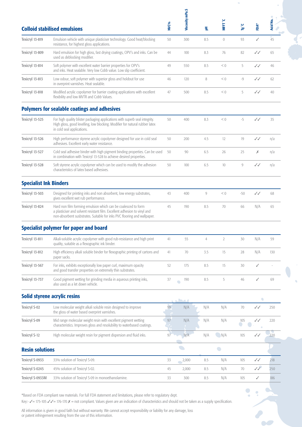|                               | <b>Colloid stabilised emulsions</b>                                                                                                                                                                                    | NVC% | Viscosity mPa.S   | 到              | MFFT °C                  | پ<br>త్   | FDA*         | $\bullet$<br>Acid No. |
|-------------------------------|------------------------------------------------------------------------------------------------------------------------------------------------------------------------------------------------------------------------|------|-------------------|----------------|--------------------------|-----------|--------------|-----------------------|
| Texicryl 13-819               | Emulsion vehicle with unique plasticiser technology. Good heat/blocking<br>resistance, for highest gloss applications.                                                                                                 | 50   | 300               | 8.5            | $\circ$                  | 93        | ✓            | 45                    |
| Texicryl 13-809               | Hard emulsion for high gloss, fast drying coatings, OPV's and inks. Can be<br>used as deblocking modifier.                                                                                                             | 44   | 100               | 8.3            | 76                       | 82        | ✓✓           | 65                    |
| Texicryl 13-814               | Soft polymer with excellent water barrier properties for OPV's<br>and inks. Heat sealable. Very low Cobb value. Low slip coefficient.                                                                                  | 49   | 550               | 8.5            | < 0                      | 5         | ✓✓           | 46                    |
| Texicryl 13-813               | Low odour, soft polymer with superior gloss and holdout for use<br>in overprint varnishes. Heat sealable.                                                                                                              | 46   | 120               | 8              | < 0                      | $-9$      | ✓✓           | 62                    |
| Texicryl 13-818               | Modified acrylic copolymer for barrier coating applications with excellent<br>flexibility and low MVTR and Cobb Values.                                                                                                | 47   | 500               | 8.5            | < 0                      | 5         | J J          | 40                    |
|                               | <b>Polymers for sealable coatings and adhesives</b>                                                                                                                                                                    |      |                   |                |                          |           |              |                       |
| Texicryl 13-525               | For high quality blister packaging applications with superb seal integrity.<br>High gloss, good levelling, low blocking. Modifier for natural rubber latex<br>in cold seal applications.                               | 50   | 400               | 8.3            | < 0                      | $-5$      | $\checkmark$ | 35                    |
| Texicryl 13-526               | High performance styrene acrylic copolymer designed for use in cold seal<br>adhesives. Excellent early water resistance.                                                                                               | 50   | 200               | 4.5            | 12                       | 19        | ✓✓           | n/a                   |
| Texicryl 13-527               | Cold seal adhesive binder with high pigment binding properties. Can be used<br>in combination with Texicryl 13-528 to achieve desired properties.                                                                      | 50   | 90                | 6.5            | 26                       | 25        | Х            | n/a                   |
| Texicryl 13-528               | Soft styrene acrylic copolymer which can be used to modify the adhesion<br>characteristics of latex based adhesives.                                                                                                   | 50   | 100               | 6.5            | 10                       | 9         | ✓✓           | n/a                   |
| <b>Specialist Ink Binders</b> |                                                                                                                                                                                                                        |      |                   |                |                          |           |              |                       |
| Texicryl 13-503               | Designed for printing inks and non absorbent, low energy substrates,<br>gives excellent wet rub performance.                                                                                                           | 43   | 400               | 9              | < 0                      | $-50$     | $\checkmark$ | 68                    |
| Texicryl 13-824               | Hard non film forming emulsion which can be coalesced to form<br>a plasticiser and solvent resistant film. Excellent adhesion to vinyl and<br>non-absorbent susbstrates. Suitable for inks PVC flooring and wallpaper. | 45   | 190               | 8.5            | 70                       | 66        | N/A          | 65                    |
|                               | <b>Specialist polymer for paper and board</b>                                                                                                                                                                          |      |                   |                |                          |           |              |                       |
| Texicryl 13-811               | Alkali-soluble acrylic copolymer with good rub-resistance and high print<br>quality, suitable as a flexographic ink binder.                                                                                            | 41   | 55                | $\overline{4}$ | 2                        | 30        | N/A          | 59                    |
| Texicryl 13-812               | High efficiency alkali soluble binder for flexographic printing of cartons and<br>paper sacks.                                                                                                                         | 41   | 70                | 3.5            | 15                       | 28        | N/A          | 130                   |
| Texicryl 13-567               | For inks, exhibits exceptionally low paper curl, maximum opacity<br>and good transfer properties on extremely thin substrates.                                                                                         | 52   | 175               | 8.5            | 15                       | 30        | ✓            |                       |
| Texicryl 13-737               | Good pigment wetting for grinding media in aqueous printing inks,<br>also used as a let down vehicle.                                                                                                                  | 37   | 190               | 8.5            | 5                        | 46        | ✓            | 69                    |
|                               | <b>Solid styrene acrylic resins</b>                                                                                                                                                                                    |      | $\sim$ $\sqrt{ }$ |                |                          |           | $\bullet$    |                       |
| Texicryl S-02                 | Low molecular weight alkali soluble resin designed to improve<br>the gloss of water based overprint varnishes.                                                                                                         | 99   | N/A               | N/A            | N/A                      | 70        | $\checkmark$ | 250                   |
| Texicryl S-09                 | Mid range molecular weight resin with excellent pigment wetting<br>characteristics. Improves gloss and resolubility to waterbased coatings.                                                                            | 97   | N/A               | N/A            | N/A                      | 105<br>O) | ✓✓           | 220                   |
| Texicryl S-12                 | High molecular weight resin for pigment dispersion and fluid inks.                                                                                                                                                     | 97   | N/A               | N/A            | N/A                      | 105       | $\checkmark$ | 220                   |
| <b>Resin solutions</b>        |                                                                                                                                                                                                                        |      |                   |                | $\overline{\phantom{0}}$ |           |              |                       |
| Texicryl S-0933               | 33% solution of Texicryl S-09.                                                                                                                                                                                         | 33   | 2,000             | 8.5            | N/A                      | 105       | $\checkmark$ | 218                   |
| Texicryl S-0245               | 45% solution of Texicryl S-02.                                                                                                                                                                                         | 45   | 2,000             | 8.5            | N/A                      | 70        | $\sqrt{2}$   | 250                   |
| Texicryl S-0933M              | 33% solution of Texicryl S-09 in monoethanolamine.                                                                                                                                                                     | 33   | 300               | 8.5            | N/A                      | 105       | ✓            | 186                   |

 $\bullet$  $\ddot{\phantom{0}}$  $\bullet$ 

 $\bullet$ 

\*Based on FDA compliant raw materials. For full FDA statement and limitations, please refer to regulatory dept.

Key:-  $\sqrt{=} 175$ -105  $\sqrt{}= 176$ -170  $\cancel{\chi} =$  not compliant. Values given are an indication of characteristics and should not be taken as a supply specification.

All information is given in good faith but without warranty. We cannot accept responsibility or liability for any damage, loss or patent infringement resulting from the use of this information.